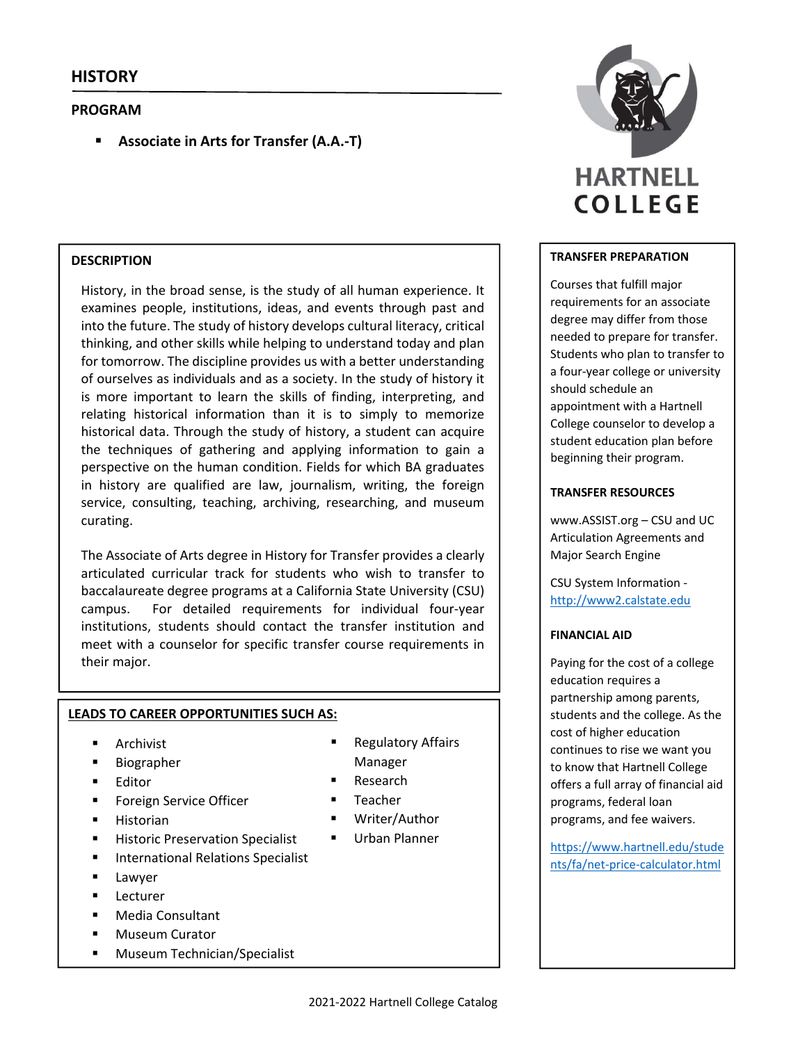## **PROGRAM**

**Associate in Arts for Transfer (A.A.‐T)**

## **DESCRIPTION**

History, in the broad sense, is the study of all human experience. It examines people, institutions, ideas, and events through past and into the future. The study of history develops cultural literacy, critical thinking, and other skills while helping to understand today and plan for tomorrow. The discipline provides us with a better understanding of ourselves as individuals and as a society. In the study of history it is more important to learn the skills of finding, interpreting, and relating historical information than it is to simply to memorize historical data. Through the study of history, a student can acquire the techniques of gathering and applying information to gain a perspective on the human condition. Fields for which BA graduates in history are qualified are law, journalism, writing, the foreign service, consulting, teaching, archiving, researching, and museum curating.

The Associate of Arts degree in History for Transfer provides a clearly articulated curricular track for students who wish to transfer to baccalaureate degree programs at a California State University (CSU) campus. For detailed requirements for individual four-year institutions, students should contact the transfer institution and meet with a counselor for specific transfer course requirements in their major.

#### **LEADS TO CAREER OPPORTUNITIES SUCH AS:**

- Archivist
- Biographer
- Editor
- **Foreign Service Officer**
- **Historian**
- Historic Preservation Specialist
- **International Relations Specialist**
- Lawyer
- **Lecturer**
- Media Consultant
- **Museum Curator**
- **Museum Technician/Specialist**
- Regulatory Affairs Manager
- Research
- Teacher
- Writer/Author
- **Urban Planner**



## **TRANSFER PREPARATION**

Courses that fulfill major requirements for an associate degree may differ from those needed to prepare for transfer. Students who plan to transfer to a four‐year college or university should schedule an appointment with a Hartnell College counselor to develop a student education plan before beginning their program.

## **TRANSFER RESOURCES**

www.ASSIST.org – CSU and UC Articulation Agreements and Major Search Engine

CSU System Information ‐ http://www2.calstate.edu

#### **FINANCIAL AID**

Paying for the cost of a college education requires a partnership among parents, students and the college. As the cost of higher education continues to rise we want you to know that Hartnell College offers a full array of financial aid programs, federal loan programs, and fee waivers.

https://www.hartnell.edu/stude nts/fa/net‐price‐calculator.html